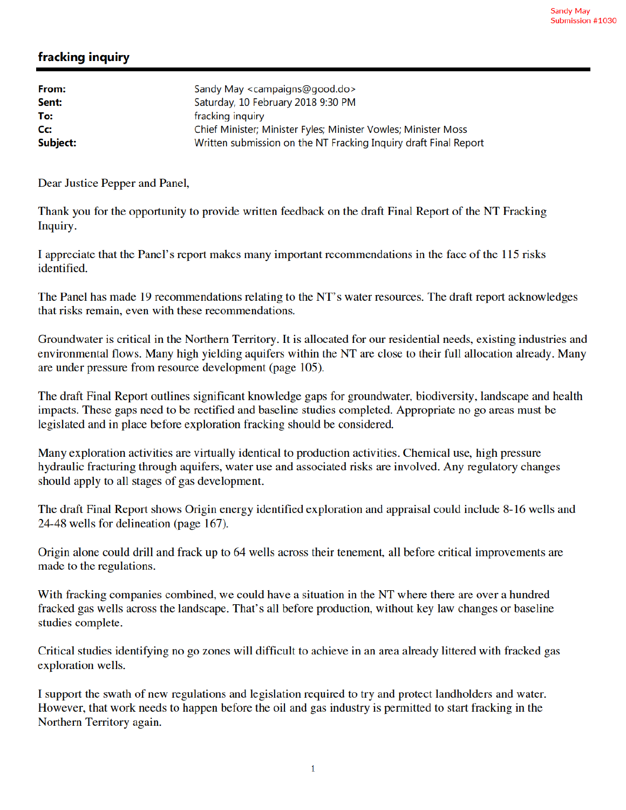## fracking inquiry

| Sandy May <campaigns@good.do></campaigns@good.do>                |
|------------------------------------------------------------------|
| Saturday, 10 February 2018 9:30 PM                               |
| fracking inquiry                                                 |
| Chief Minister; Minister Fyles; Minister Vowles; Minister Moss   |
| Written submission on the NT Fracking Inquiry draft Final Report |
|                                                                  |

Dear Justice Pepper and Panel,

Thank you for the opportunity to provide written feedback on the draft Final Report of the NT Fracking Inquiry.

I appreciate that the Panel's report makes many important recommendations in the face of the 115 risks identified.

The Panel has made 19 recommendations relating to the NT's water resources. The draft report acknowledges that risks remain, even with these recommendations.

Groundwater is critical in the Northern Territory. It is allocated for our residential needs, existing industries and environmental flows. Many high yielding aquifers within the NT are close to their full allocation already. Many are under pressure from resource development (page 105).

The draft Final Report outlines significant knowledge gaps for groundwater, biodiversity, landscape and health impacts. These gaps need to be rectified and baseline studies completed. Appropriate no go areas must be legislated and in place before exploration fracking should be considered.

Many exploration activities are virtually identical to production activities. Chemical use, high pressure hydraulic fracturing through aquifers, water use and associated risks are involved. Any regulatory changes should apply to all stages of gas development.

The draft Final Report shows Origin energy identified exploration and appraisal could include 8-16 wells and 24-48 wells for delineation (page 167).

Origin alone could drill and frack up to 64 wells across their tenement, all before critical improvements are made to the regulations.

With fracking companies combined, we could have a situation in the NT where there are over a hundred fracked gas wells across the landscape. That's all before production, without key law changes or baseline studies complete.

Critical studies identifying no go zones will difficult to achieve in an area already littered with fracked gas exploration wells.

I support the swath of new regulations and legislation required to try and protect landholders and water. However, that work needs to happen before the oil and gas industry is permitted to start fracking in the Northern Territory again.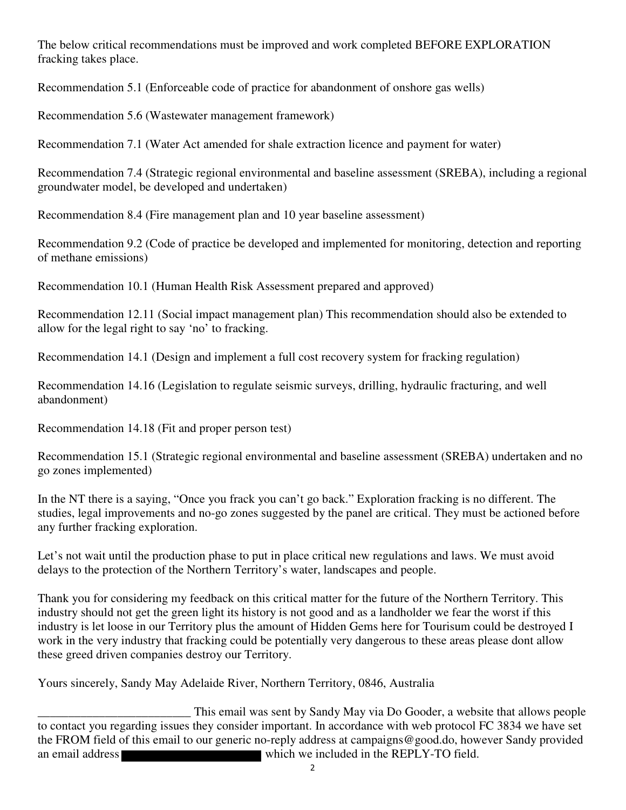The below critical recommendations must be improved and work completed BEFORE EXPLORATION fracking takes place.

Recommendation 5.1 (Enforceable code of practice for abandonment of onshore gas wells)

Recommendation 5.6 (Wastewater management framework)

Recommendation 7.1 (Water Act amended for shale extraction licence and payment for water)

Recommendation 7.4 (Strategic regional environmental and baseline assessment (SREBA), including a regional groundwater model, be developed and undertaken)

Recommendation 8.4 (Fire management plan and 10 year baseline assessment)

Recommendation 9.2 (Code of practice be developed and implemented for monitoring, detection and reporting of methane emissions)

Recommendation 10.1 (Human Health Risk Assessment prepared and approved)

Recommendation 12.11 (Social impact management plan) This recommendation should also be extended to allow for the legal right to say 'no' to fracking.

Recommendation 14.1 (Design and implement a full cost recovery system for fracking regulation)

Recommendation 14.16 (Legislation to regulate seismic surveys, drilling, hydraulic fracturing, and well abandonment)

Recommendation 14.18 (Fit and proper person test)

Recommendation 15.1 (Strategic regional environmental and baseline assessment (SREBA) undertaken and no go zones implemented)

In the NT there is a saying, "Once you frack you can't go back." Exploration fracking is no different. The studies, legal improvements and no-go zones suggested by the panel are critical. They must be actioned before any further fracking exploration.

Let's not wait until the production phase to put in place critical new regulations and laws. We must avoid delays to the protection of the Northern Territory's water, landscapes and people.

Thank you for considering my feedback on this critical matter for the future of the Northern Territory. This industry should not get the green light its history is not good and as a landholder we fear the worst if this industry is let loose in our Territory plus the amount of Hidden Gems here for Tourisum could be destroyed I work in the very industry that fracking could be potentially very dangerous to these areas please dont allow these greed driven companies destroy our Territory.

Yours sincerely, Sandy May Adelaide River, Northern Territory, 0846, Australia

This email was sent by Sandy May via Do Gooder, a website that allows people<br>to contact you regarding issues they consider important. In accordance with web protocol FC 3834 we have set the FROM field of this email to our generic no-reply address at campaigns@good.do, however Sandy provided an email address which we included in the REPLY-TO field.